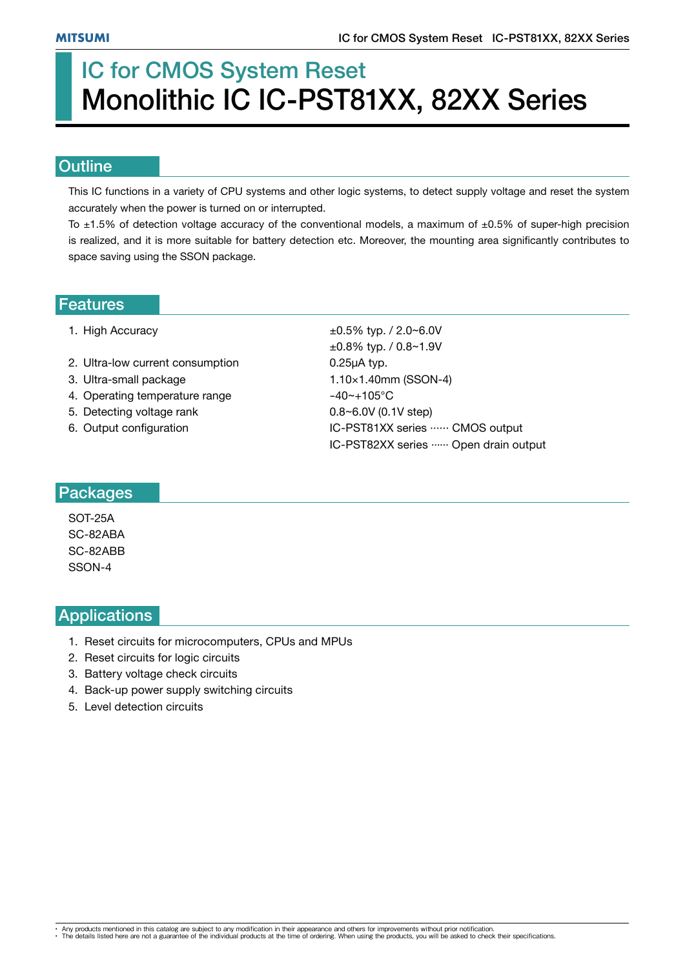# IC for CMOS System Reset Monolithic IC IC-PST81XX, 82XX Series

#### **Outline**

This IC functions in a variety of CPU systems and other logic systems, to detect supply voltage and reset the system accurately when the power is turned on or interrupted.

To  $\pm$ 1.5% of detection voltage accuracy of the conventional models, a maximum of  $\pm$ 0.5% of super-high precision is realized, and it is more suitable for battery detection etc. Moreover, the mounting area significantly contributes to space saving using the SSON package.

#### Features

- 
- 2. Ultra-low current consumption 0.25μA typ.
- 3. Ultra-small package 1.10×1.40mm (SSON-4)
- 4. Operating temperature range  $-40$   $-105$ °C
- 5. Detecting voltage rank  $0.8~6.0V$  (0.1V step)
- 

1. High Accuracy  $\pm 0.5\%$  typ. / 2.0~6.0V ±0.8% typ. / 0.8~1.9V 6. Output configuration  $IC-PST81XX$  series  $\cdots$  CMOS output IC-PST82XX series ...... Open drain output

#### Packages

SOT-25A SC-82ABA SC-82ABB SSON-4

## **Applications**

- 1. Reset circuits for microcomputers, CPUs and MPUs
- 2. Reset circuits for logic circuits
- 3. Battery voltage check circuits
- 4. Back-up power supply switching circuits
- 5. Level detection circuits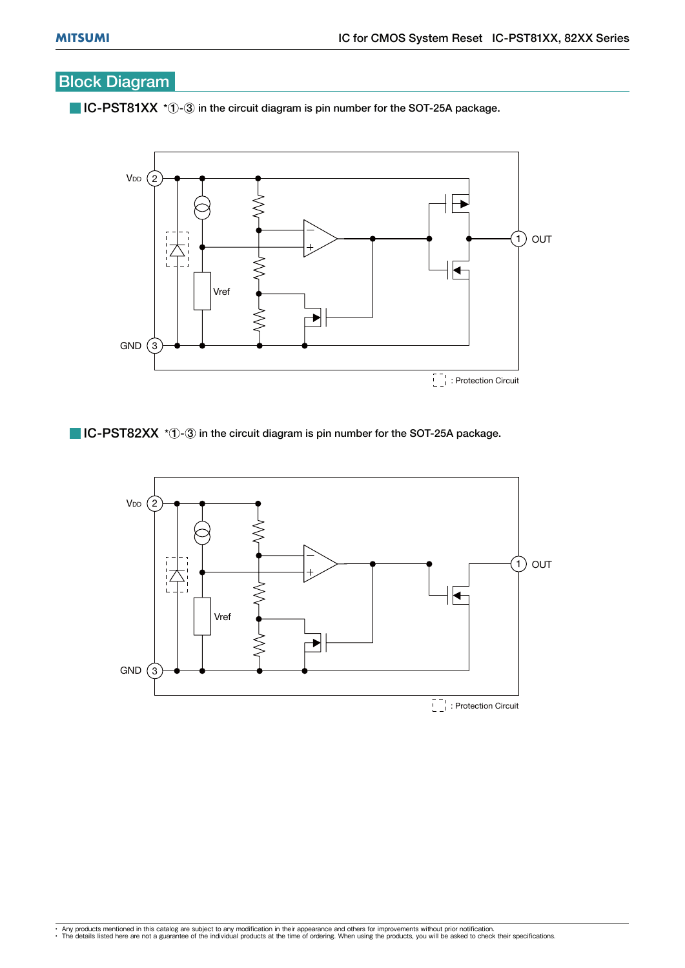## Block Diagram

 $\blacksquare$  IC-PST81XX  $*$   $\lozenge$  -  $\odot$  in the circuit diagram is pin number for the SOT-25A package.



 $\blacksquare$  IC-PST82XX  $*$   $\lozenge$   $\lozenge$  in the circuit diagram is pin number for the SOT-25A package.

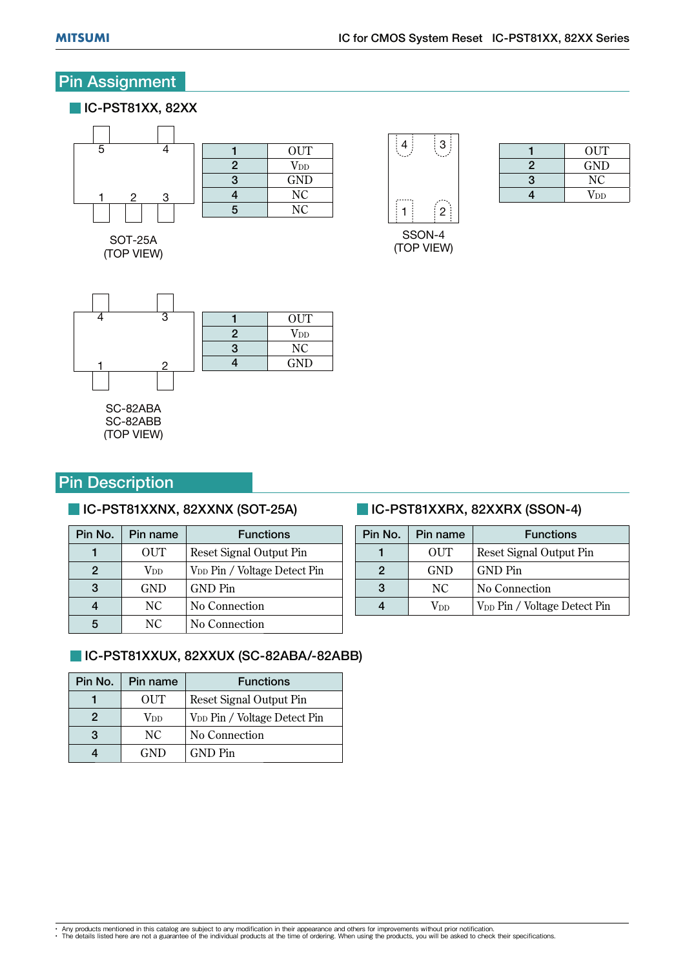## Pin Assignment

#### **IC-PST81XX, 82XX**  $\overline{4}$  $\begin{array}{c|c}\n1 & \text{OUT} \\
2 & \text{V}_{\text{DD}}\n\end{array}$  $\begin{array}{c|c}\n2 & \text{V<sub>DD</sub>}\n\hline\n3 & \text{GND}\n\end{array}$  $\begin{array}{c|c}\n3 & \text{GND} \\
4 & \text{NC}\n\end{array}$ 4 NC<br>5 NC 3 1 <u>123 - 123 - 123 - 123 - 123 - 123 - 123 - 123 - 123 - 123 - 123 - 123 - 123 - 123 - 123 - 123 - 123 - 123 - 1</u> N<sub>C</sub>

**COP VIEW**  $\sqrt{2}$ 



 $\sqrt{2}$ 

 $\begin{array}{c|c}\n 1 & \text{OUT} \\
 \hline\n 2 & \text{GND}\n \end{array}$  $\begin{array}{c|c}\n2 & \text{GND} \\
3 & \text{NC}\n\end{array}$  $\begin{array}{c|c}\n 3 & \text{NC} \\
 \hline\n 4 & \text{V}_{\text{DD}}\n \end{array}$  $\overline{\text{V}}$ DD



(TOP VIEW)  $\mathcal{L}$ 

## Pin Description

#### **IC-PST81XXNX, 82XXNX (SOT-25A)**

| <b>OUT</b><br>Reset Signal Output Pin<br>$\operatorname{V_{DD}}$<br>V <sub>DD</sub> Pin / Voltage Detect Pin<br>2<br>3<br><b>GND</b><br><b>GND Pin</b> | Pin No. | Pin name | <b>Functions</b> |
|--------------------------------------------------------------------------------------------------------------------------------------------------------|---------|----------|------------------|
|                                                                                                                                                        |         |          |                  |
|                                                                                                                                                        |         |          |                  |
|                                                                                                                                                        |         |          |                  |
| NC<br>No Connection                                                                                                                                    |         |          |                  |
| NC<br>No Connection                                                                                                                                    |         |          |                  |

## IC-PST81XXUX, 82XXUX (SC-82ABA/-82ABB)

| Pin No. | Pin name   | <b>Functions</b>                         |
|---------|------------|------------------------------------------|
|         | OUT        | Reset Signal Output Pin                  |
| 2       | Vnn        | V <sub>DD</sub> Pin / Voltage Detect Pin |
| 3       | NC         | No Connection                            |
|         | <b>GND</b> | GND Pin                                  |
|         |            |                                          |

## **IC-PST81XXRX, 82XXRX (SSON-4)**

| Pin No. | Pin name   | <b>Functions</b>                         |
|---------|------------|------------------------------------------|
|         | OUT        | Reset Signal Output Pin                  |
| 2       | <b>GND</b> | <b>GND</b> Pin                           |
| 3       | NC         | No Connection                            |
|         | Vdd        | V <sub>DD</sub> Pin / Voltage Detect Pin |
|         |            |                                          |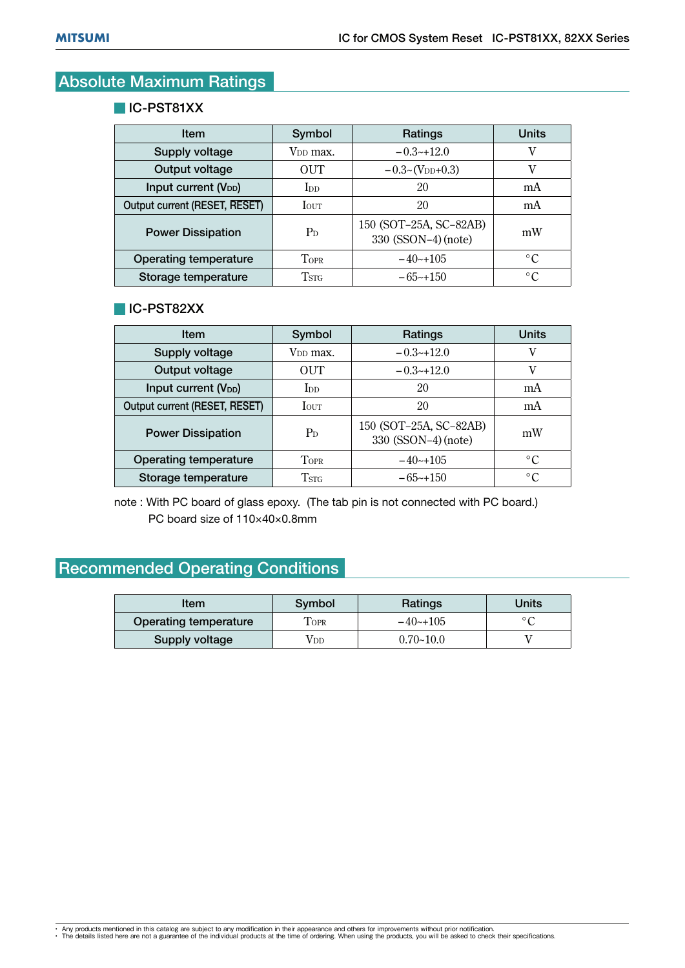## Absolute Maximum Ratings

#### **IC-PST81XX**

| Item                             | Symbol               | Ratings                                       | <b>Units</b>    |  |
|----------------------------------|----------------------|-----------------------------------------------|-----------------|--|
| Supply voltage                   | V <sub>DD</sub> max. | $-0.3-12.0$                                   | v               |  |
| Output voltage                   | OUT                  | $-0.3 \sim (V_{DD} + 0.3)$                    | v               |  |
| Input current (V <sub>DD</sub> ) | $\rm{Inn}$           | 20                                            | mA              |  |
| Output current (RESET, RESET)    | <b>I</b> OUT         | 20                                            | mA              |  |
| <b>Power Dissipation</b>         | $P_D$                | 150 (SOT-25A, SC-82AB)<br>330 (SSON-4) (note) | mW              |  |
| Operating temperature            | <b>TOPR</b>          | $-40+105$                                     | $\circ$ C       |  |
| Storage temperature              | T <sub>STG</sub>     | $-65$ ~+150                                   | $\rm ^{\circ}C$ |  |
|                                  |                      |                                               |                 |  |

#### **IC-PST82XX**

| <b>Item</b>                                                                       | Symbol                 | Ratings                                       | <b>Units</b> |  |  |  |
|-----------------------------------------------------------------------------------|------------------------|-----------------------------------------------|--------------|--|--|--|
| Supply voltage                                                                    | V <sub>DD</sub> max.   | $-0.3-12.0$                                   | v            |  |  |  |
| Output voltage                                                                    | OUT                    | $-0.3-12.0$                                   | V            |  |  |  |
| Input current (V <sub>DD</sub> )                                                  | $\overline{\text{In}}$ | 20                                            | mA           |  |  |  |
| Output current (RESET, RESET)                                                     | <b>I</b> OUT           | 20                                            | mA           |  |  |  |
| <b>Power Dissipation</b>                                                          | $P_D$                  | 150 (SOT-25A, SC-82AB)<br>330 (SSON-4) (note) | mW           |  |  |  |
| Operating temperature                                                             | <b>TOPR</b>            | $-40+105$                                     | $\circ$ C    |  |  |  |
| Storage temperature                                                               | T <sub>STG</sub>       | $-65-150$                                     | $\circ$ C    |  |  |  |
| note: With PC board of glass epoxy. (The tab pin is not connected with PC board.) |                        |                                               |              |  |  |  |

PC board size of 110×40×0.8mm

## Recommended Operating Conditions

| Symbol      | Ratings       | Units |  |
|-------------|---------------|-------|--|
| <b>FOPR</b> | $-40$ $-105$  |       |  |
| Vdd         | $0.70 - 10.0$ |       |  |
|             |               |       |  |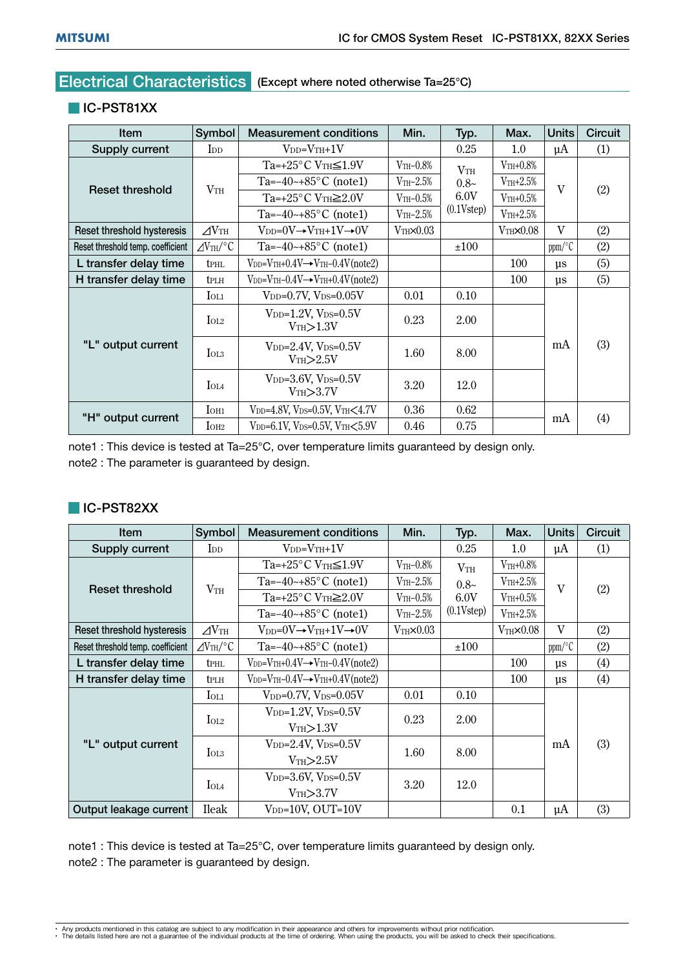## Electrical Characteristics (Except where noted otherwise Ta=25°C)

#### **IC-PST81XX**

| Item                              | Symbol                       | <b>Measurement conditions</b>                                       | Min.                 | Typ.                              | Max.                    | <b>Units</b> | Circuit |
|-----------------------------------|------------------------------|---------------------------------------------------------------------|----------------------|-----------------------------------|-------------------------|--------------|---------|
| Supply current                    | <b>I</b> <sub>D</sub>        | $V_{DD}=V_{TH}+1V$                                                  |                      | 0.25                              | 1.0                     | $\mu$ A      | (1)     |
|                                   |                              | $Ta=+25^{\circ}C \text{ V}_{TH} \leq 1.9 \text{V}$                  | $V$ th-0.8%          | V <sub>TH</sub><br>$0.8-$<br>6.0V | $V$ <sub>TH</sub> +0.8% | $\mathbf{V}$ | (2)     |
| <b>Reset threshold</b>            | VTH                          | Ta= $-40$ ~+85 $\degree$ C (note1)                                  | $V$ TH $-2.5\%$      |                                   | $V$ <sub>TH</sub> +2.5% |              |         |
|                                   |                              | $Ta=+25^{\circ}$ C VTH $\geq 2.0V$                                  | $V$ TH $-0.5\%$      |                                   | $V$ TH+0.5%             |              |         |
|                                   |                              | Ta= $-40$ ~+85 $\degree$ C (note1)                                  | $V$ TH $-2.5%$       | (0.1Vstep)                        | $V$ TH $+2.5%$          |              |         |
| Reset threshold hysteresis        | $\Delta V$ th                | $V_{DD}=0V \rightarrow V_{TH}+1V \rightarrow 0V$                    | $V$ TH $\times$ 0.03 |                                   | VTHX0.08                | $\mathbf{V}$ | (2)     |
| Reset threshold temp. coefficient | $\angle$ V <sub>TH</sub> /°C | Ta= $-40$ ~ $+85$ °C (note1)                                        |                      | ±100                              |                         | ppm/°C       | (2)     |
| L transfer delay time             | <b>t</b> <sub>PHL</sub>      | $V_{DD} = V_{TH} + 0.4V \rightarrow V_{TH} - 0.4V$ (note2)          |                      |                                   | 100                     | $\mu$ s      | (5)     |
| H transfer delay time             | tplh                         | $V_{DD} = V_{TH} - 0.4V \rightarrow V_{TH} + 0.4V (note 2)$         |                      |                                   | 100                     | $\mu$ s      | (5)     |
| "L" output current                | $I_{OL1}$                    | $V_{DD}=0.7V$ , $V_{DS}=0.05V$                                      | 0.01                 | 0.10                              |                         | mA           | (3)     |
|                                   | $I_{OL2}$                    | $V_{DD}=1.2V$ , $V_{DS}=0.5V$<br>$V$ TH $>1.3V$                     | 0.23                 | 2.00                              |                         |              |         |
|                                   | $I_{OL3}$                    | $V_{DD}=2.4V$ , $V_{DS}=0.5V$<br>V <sub>TH</sub> > 2.5V             | 1.60                 | 8.00                              |                         |              |         |
|                                   | IOL4                         | $V_{DD}=3.6V$ , $V_{DS}=0.5V$<br>V <sub>TH</sub> > 3.7V             | 3.20                 | 12.0                              |                         |              |         |
| "H" output current                | I <sub>OH1</sub>             | V <sub>DD</sub> =4.8V, V <sub>DS</sub> =0.5V, VTH<4.7V              | 0.36                 | 0.62                              |                         |              | (4)     |
|                                   | I <sub>OH2</sub>             | $V_{\text{DD}}$ =6.1V, $V_{\text{DS}}$ =0.5V, $V_{\text{TH}}$ <5.9V | 0.46                 | 0.75                              |                         | mA           |         |

note1 : This device is tested at Ta=25°C, over temperature limits guaranteed by design only. note2 : The parameter is guaranteed by design.

#### **IC-PST82XX**

| Item                              | Symbol                        | <b>Measurement conditions</b>                                 | Min.                 | Typ.                              | Max.                 | <b>Units</b> | Circuit |
|-----------------------------------|-------------------------------|---------------------------------------------------------------|----------------------|-----------------------------------|----------------------|--------------|---------|
| Supply current                    | <b>I</b> <sub>D</sub>         | $V_{DD} = V_{TH} + 1V$                                        |                      | 0.25                              | 1.0                  | $\mu$ A      | (1)     |
|                                   |                               | $Ta=+25^{\circ}C VTH \leq 1.9V$                               | $V$ th-0.8%          | V <sub>TH</sub><br>$0.8-$<br>6.0V | $V$ TH+0.8%          | $\mathbf{V}$ | (2)     |
| <b>Reset threshold</b>            | $V_{TH}$                      | Ta= $-40$ ~+85 $\degree$ C (note1)                            | $V$ TH $-2.5\%$      |                                   | $V$ TH+ $2.5\%$      |              |         |
|                                   |                               | $Ta=+25^{\circ}$ C VTH $\geq 2.0V$                            | $V$ th- $0.5\%$      |                                   | $V$ TH+0.5%          |              |         |
|                                   |                               | Ta= $-40$ ~+85 $\degree$ C (note1)                            | $V$ TH $-2.5%$       | (0.1Vstep)                        | $V$ TH+ $2.5\%$      |              |         |
| Reset threshold hysteresis        | $\Delta V$ th                 | $V_{DD}=0V \rightarrow V_{TH}+1V \rightarrow 0V$              | $V$ th $\times$ 0.03 |                                   | $V$ TH $\times$ 0.08 | $\mathbf{V}$ | (2)     |
| Reset threshold temp. coefficient | $\angle$ OVTH/ <sup>o</sup> C | Ta= $-40$ ~ $+85$ °C (note1)                                  |                      | ±100                              |                      | ppm/°C       | (2)     |
| L transfer delay time             | <b>t</b> <sub>PHL</sub>       | $V_{DD} = V_{TH} + 0.4V \rightarrow V_{TH} - 0.4V (note 2)$   |                      |                                   | 100                  | $\mu$ s      | (4)     |
| H transfer delay time             | <b>t</b> <sub>PLH</sub>       | $V_{DD} = V_{TH} - 0.4 V \rightarrow V_{TH} + 0.4 V (note 2)$ |                      |                                   | 100                  | $\mu$ s      | (4)     |
| "L" output current                | $I_{OL1}$                     | $V_{DD}=0.7V$ , $V_{DS}=0.05V$                                | 0.01                 | 0.10                              |                      | mA           | (3)     |
|                                   | $I_{O12}$                     | $V_{DD}=1.2V$ , $V_{DS}=0.5V$                                 | 0.23                 | 2.00                              |                      |              |         |
|                                   |                               | $V$ th $>1.3V$                                                |                      |                                   |                      |              |         |
|                                   | $I_{O13}$                     | $V_{DD}$ =2.4V, $V_{DS}=0.5V$                                 | 1.60                 | 8.00                              |                      |              |         |
|                                   |                               | V <sub>TH</sub> >2.5V                                         |                      |                                   |                      |              |         |
|                                   | $I_{OIA}$                     | $V_{DD}=3.6V$ , $V_{DS}=0.5V$                                 | 3.20                 | 12.0                              |                      |              |         |
|                                   |                               | V <sub>TH</sub> > 3.7V                                        |                      |                                   |                      |              |         |
| Output leakage current            | <b>Ileak</b>                  | $V_{DD}=10V$ , OUT= $10V$                                     |                      |                                   | 0.1                  | $\mu$ A      | (3)     |

note1 : This device is tested at Ta=25°C, over temperature limits guaranteed by design only. note2 : The parameter is guaranteed by design.

<sup>•</sup> Any products mentioned in this catalog are subject to any modification in their appearance and others for improvements without prior notification.<br>• The details listed here are not a guarantee of the individual products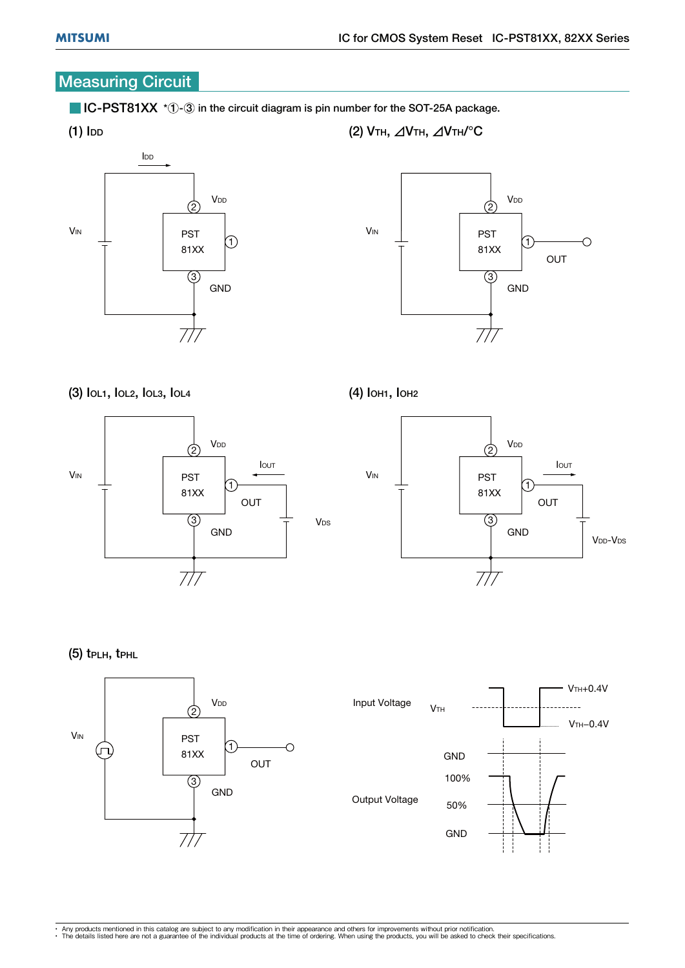## **Measuring Circuit**

 $\blacksquare$  IC-PST81XX  $*$   $\lozenge$  in the circuit diagram is pin number for the SOT-25A package.







(4) IOH1, IOH2

(2) VTH,  $\triangle$ VTH,  $\triangle$ VTH/°C





(5) tPLH, tPHL

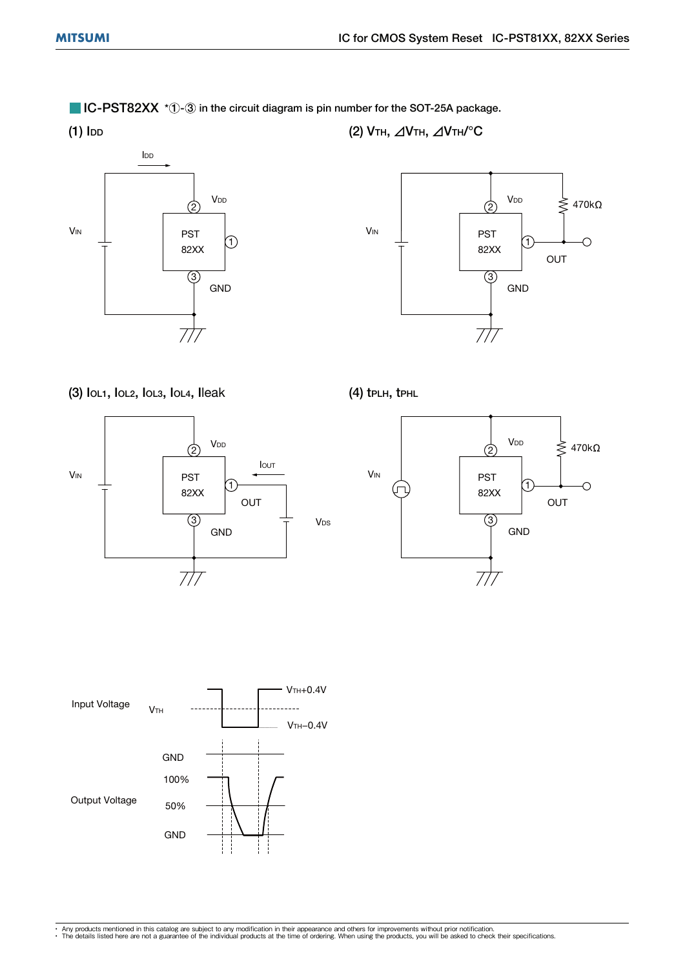$\blacksquare$  IC-PST82XX  $*$   $\lozenge$   $\lozenge$  in the circuit diagram is pin number for the SOT-25A package.



(2) VTH,  $\triangle$ VTH,  $\triangle$ VTH/°C



#### (3) IOL1, IOL2, IOL3, IOL4, Ileak







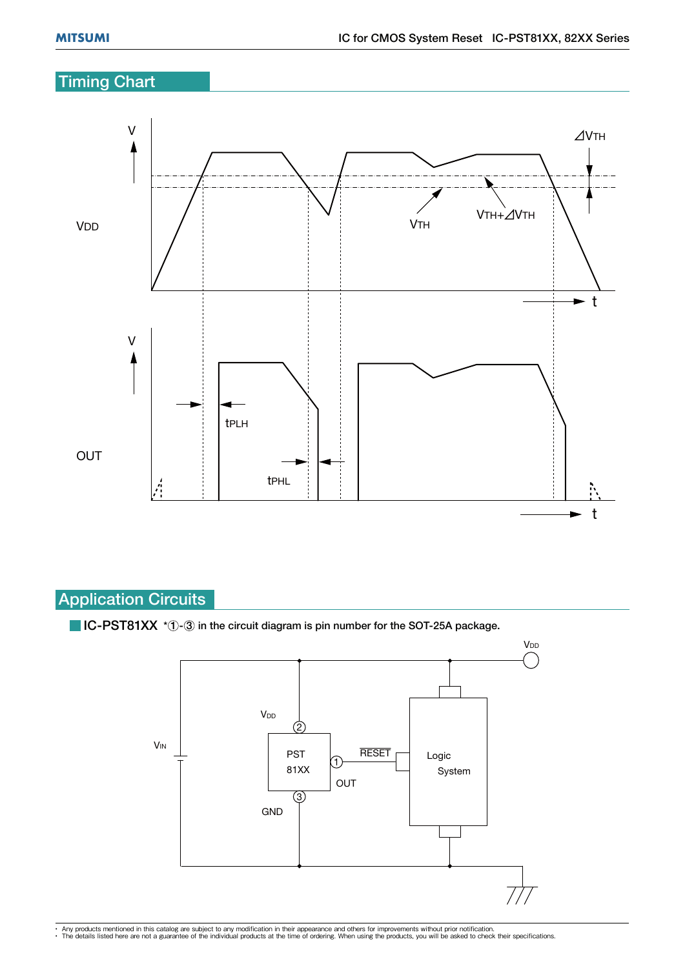## **Timing Chart**



## Application Circuits

 $\blacksquare$  IC-PST81XX  $*(1)$ - $(3)$  in the circuit diagram is pin number for the SOT-25A package.



• Any products mentioned in this catalog are subject to any modification in their appearance and others for improvements without prior notification.<br>• The details listed here are not a guarantee of the individual products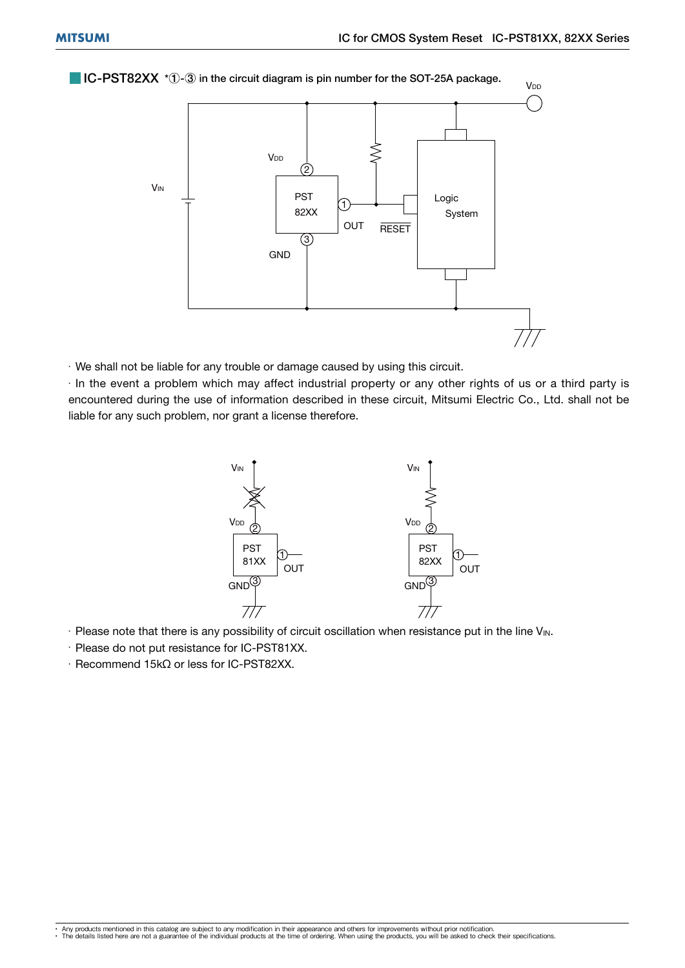$\blacksquare$  IC-PST82XX  $^*$   $\lozenge$   $\odot$  in the circuit diagram is pin number for the SOT-25A package.



 $\cdot$  We shall not be liable for any trouble or damage caused by using this circuit.

 $\cdot$  In the event a problem which may affect industrial property or any other rights of us or a third party is encountered during the use of information described in these circuit, Mitsumi Electric Co., Ltd. shall not be liable for any such problem, nor grant a license therefore.



- $\cdot$  Please note that there is any possibility of circuit oscillation when resistance put in the line V<sub>IN</sub>.
- $\cdot$  Please do not put resistance for IC-PST81XX.
- $\cdot$  Recommend 15k $\Omega$  or less for IC-PST82XX.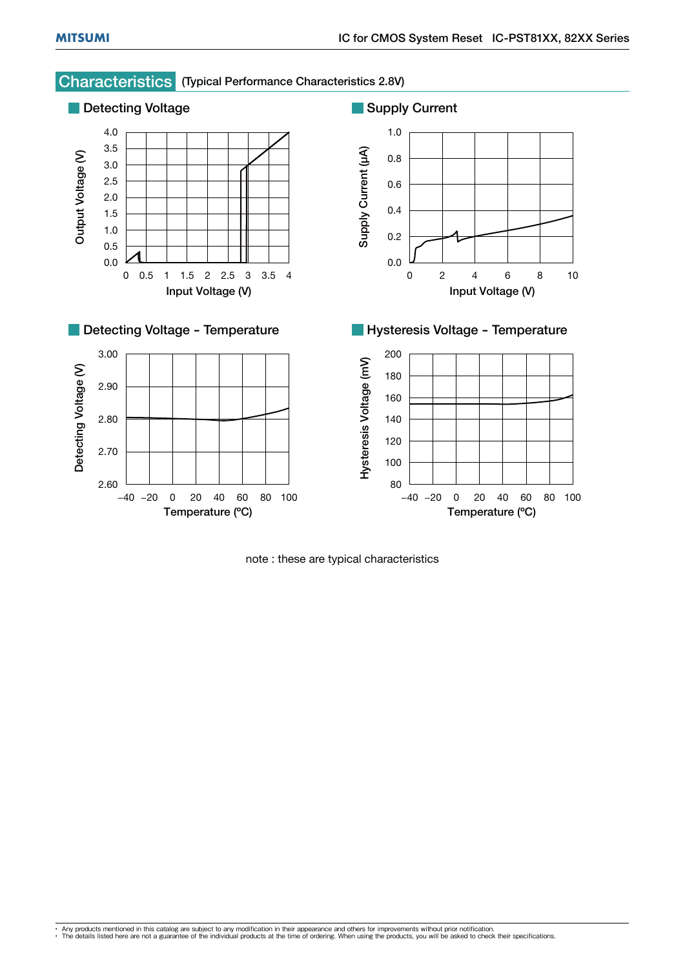

## Characteristics (Typical Performance Characteristics 2.8V)